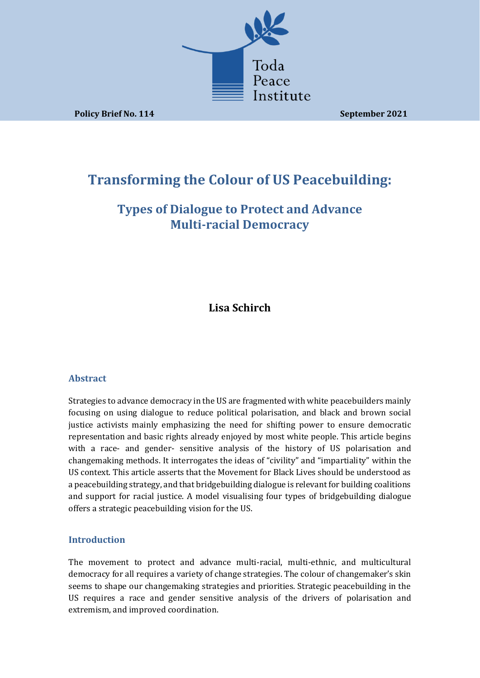

**Policy Brief No. 114 September 2021** 

# **Transforming the Colour of US Peacebuilding:**

# **Types of Dialogue to Protect and Advance Multi-racial Democracy**

**Lisa Schirch**

#### **Abstract**

Strategies to advance democracy in the US are fragmented with white peacebuilders mainly focusing on using dialogue to reduce political polarisation, and black and brown social justice activists mainly emphasizing the need for shifting power to ensure democratic representation and basic rights already enjoyed by most white people. This article begins with a race- and gender- sensitive analysis of the history of US polarisation and changemaking methods. It interrogates the ideas of "civility" and "impartiality" within the US context. This article asserts that the Movement for Black Lives should be understood as a peacebuilding strategy, and that bridgebuilding dialogue is relevant for building coalitions and support for racial justice. A model visualising four types of bridgebuilding dialogue offers a strategic peacebuilding vision for the US.

#### **Introduction**

The movement to protect and advance multi-racial, multi-ethnic, and multicultural democracy for all requires a variety of change strategies. The colour of changemaker's skin seems to shape our changemaking strategies and priorities. Strategic peacebuilding in the US requires a race and gender sensitive analysis of the drivers of polarisation and extremism, and improved coordination.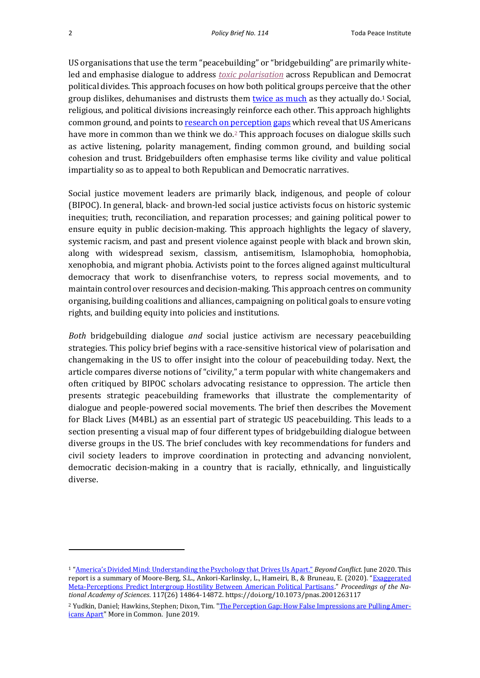US organisations that use the term "peacebuilding" or "bridgebuilding" are primarily whiteled and emphasise dialogue to addres[s](https://www.listenfirstproject.org/toxic-polarization-data) *[toxic polarisation](https://www.listenfirstproject.org/toxic-polarization-data)* across Republican and Democrat political divides. This approach focuses on how both political groups perceive that the other group dislikes, dehumanises and distrusts them [twice as much](https://beyondconflictint.org/wp-content/uploads/2020/06/Beyond-Conflict-America_s-Div-ided-Mind-JUNE-2020-FOR-WEB.pdf) as they actually do.<sup>1</sup> Social, religious, and political divisions increasingly reinforce each other. This approach highlights common ground, and points t[o research on perception](https://perceptiongap.us/) [gaps](https://perceptiongap.us/) which reveal that US Americans have more in common than we think we do*.* <sup>2</sup> This approach focuses on dialogue skills such as active listening, polarity management, finding common ground, and building social cohesion and trust. Bridgebuilders often emphasise terms like civility and value political impartiality so as to appeal to both Republican and Democratic narratives.

Social justice movement leaders are primarily black, indigenous, and people of colour (BIPOC). In general, black- and brown-led social justice activists focus on historic systemic inequities; truth, reconciliation, and reparation processes; and gaining political power to ensure equity in public decision-making. This approach highlights the legacy of slavery, systemic racism, and past and present violence against people with black and brown skin, along with widespread sexism, classism, antisemitism, Islamophobia, homophobia, xenophobia, and migrant phobia. Activists point to the forces aligned against multicultural democracy that work to disenfranchise voters, to repress social movements, and to maintain control over resources and decision-making. This approach centres on community organising, building coalitions and alliances, campaigning on political goals to ensure voting rights, and building equity into policies and institutions.

*Both* bridgebuilding dialogue *and* social justice activism are necessary peacebuilding strategies. This policy brief begins with a race-sensitive historical view of polarisation and changemaking in the US to offer insight into the colour of peacebuilding today. Next, the article compares diverse notions of "civility," a term popular with white changemakers and often critiqued by BIPOC scholars advocating resistance to oppression. The article then presents strategic peacebuilding frameworks that illustrate the complementarity of dialogue and people-powered social movements. The brief then describes the Movement for Black Lives (M4BL) as an essential part of strategic US peacebuilding. This leads to a section presenting a visual map of four different types of bridgebuilding dialogue between diverse groups in the US. The brief concludes with key recommendations for funders and civil society leaders to improve coordination in protecting and advancing nonviolent, democratic decision-making in a country that is racially, ethnically, and linguistically diverse.

<sup>1</sup> ["America's Divided Mind: Understanding the Psychology that Drives Us Apart."](https://beyondconflictint.org/americas-divided-mind/) *Beyond Conflict.* June 2020. This report is a summary of Moore-Berg, S.L., Ankori-Karlinsky, L., Hameiri, B., & Bruneau, E. (2020). "[Exaggerated](https://psyarxiv.com/d6bpe/)  [Meta-Perceptions Predict Intergroup Hostility Between American Political Partisans](https://psyarxiv.com/d6bpe/)." *Proceedings of the National Academy of Sciences*. 117(26) 14864-14872. https://doi.org/10.1073/pnas.2001263117

<sup>&</sup>lt;sup>2</sup> Yudkin, Daniel; Hawkins, Stephen; Dixon, Tim. ["The Perception Gap: How False Impressions are Pulling Amer](https://perceptiongap.us/media/anvpqwr2/perception-gap-report-1-0-3.pdf)[icans Apart"](https://perceptiongap.us/media/anvpqwr2/perception-gap-report-1-0-3.pdf) More in Common. June 2019.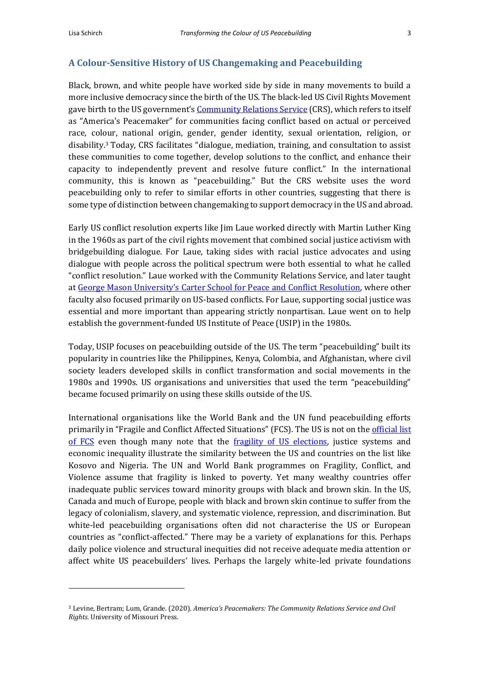#### **A Colour-Sensitive History of US Changemaking and Peacebuilding**

Black, brown, and white people have worked side by side in many movements to build a more inclusive democracy since the birth of the US. The black-led US Civil Rights Movement gave birth to the US government's [Community Relations Service](https://www.justice.gov/crs/about) (CRS), which refers to itself as "America's Peacemaker" for communities facing conflict based on actual or perceived race, colour, national origin, gender, gender identity, sexual orientation, religion, or disability.<sup>3</sup> Today, CRS facilitates "dialogue, mediation, training, and consultation to assist these communities to come together, develop solutions to the conflict, and enhance their capacity to independently prevent and resolve future conflict." In the international community, this is known as "peacebuilding." But the CRS website uses the word peacebuilding only to refer to similar efforts in other countries, suggesting that there is some type of distinction between changemaking to support democracy in the US and abroad.

Early US conflict resolution experts like Jim Laue worked directly with Martin Luther King in the 1960s as part of the civil rights movement that combined social justice activism with bridgebuilding dialogue. For Laue, taking sides with racial justice advocates and using dialogue with people across the political spectrum were both essential to what he called "conflict resolution." Laue worked with the Community Relations Service, and later taught at George Mason [University's Carter School for Peace and Conflict Resolution](https://carterschool.gmu.edu/), where other faculty also focused primarily on US-based conflicts. For Laue, supporting social justice was essential and more important than appearing strictly nonpartisan. Laue went on to help establish the government-funded US Institute of Peace (USIP) in the 1980s.

Today, USIP focuses on peacebuilding outside of the US. The term "peacebuilding" built its popularity in countries like the Philippines, Kenya, Colombia, and Afghanistan, where civil society leaders developed skills in conflict transformation and social movements in the 1980s and 1990s. US organisations and universities that used the term "peacebuilding" became focused primarily on using these skills outside of the US.

International organisations like the World Bank and the UN fund peacebuilding efforts primarily in "Fragile and Conflict Affected Situations" (FCS). The US is not on the official list [of FCS](https://www.worldbank.org/en/topic/fragilityconflictviolence/brief/harmonized-list-of-fragile-situations) even though many note that the [fragility of US elections,](https://foreignpolicy.com/2020/10/24/u-s-elections-struggling-democracy/) justice systems and economic inequality illustrate the similarity between the US and countries on the list like Kosovo and Nigeria. The UN and World Bank programmes on Fragility, Conflict, and Violence assume that fragility is linked to poverty. Yet many wealthy countries offer inadequate public services toward minority groups with black and brown skin. In the US, Canada and much of Europe, people with black and brown skin continue to suffer from the legacy of colonialism, slavery, and systematic violence, repression, and discrimination. But white-led peacebuilding organisations often did not characterise the US or European countries as "conflict-affected." There may be a variety of explanations for this. Perhaps daily police violence and structural inequities did not receive adequate media attention or affect white US peacebuilders' lives. Perhaps the largely white-led private foundations

<sup>3</sup> Levine, Bertram; Lum, Grande. (2020). *America's Peacemakers: The Community Relations Service and Civil Rights.* University of Missouri Press.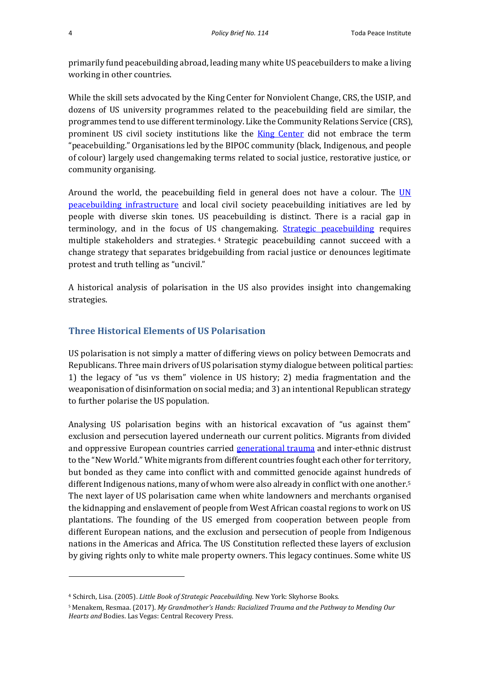primarily fund peacebuilding abroad, leading many white US peacebuilders to make a living working in other countries.

While the skill sets advocated by the King Center for Nonviolent Change, CRS, the USIP, and dozens of US university programmes related to the peacebuilding field are similar, the programmes tend to use different terminology. Like the Community Relations Service (CRS), prominent US civil society institutions like the **King Center** did not embrace the term "peacebuilding." Organisations led by the BIPOC community (black, Indigenous, and people of colour) largely used changemaking terms related to social justice, restorative justice, or community organising.

Around the world, the peacebuilding field in general does not have a colour. The  $UN$ [peacebuilding infrastructure](https://www.un.org/peacebuilding/document-topic/peacebuilding-architecture) and local civil society peacebuilding initiatives are led by people with diverse skin tones. US peacebuilding is distinct. There is a racial gap in terminology, and in the focus of US changemaking. [Strategic peacebuilding](https://www.amazon.com/Little-Book-Strategic-Peacebuilding-Framework/dp/156148427X) requires multiple stakeholders and strategies. <sup>4</sup> Strategic peacebuilding cannot succeed with a change strategy that separates bridgebuilding from racial justice or denounces legitimate protest and truth telling as "uncivil."

A historical analysis of polarisation in the US also provides insight into changemaking strategies.

## **Three Historical Elements of US Polarisation**

US polarisation is not simply a matter of differing views on policy between Democrats and Republicans. Three main drivers of US polarisation stymy dialogue between political parties: 1) the legacy of "us vs them" violence in US history; 2) media fragmentation and the weaponisation of disinformation on social media; and 3) an intentional Republican strategy to further polarise the US population.

Analysing US polarisation begins with an historical excavation of "us against them" exclusion and persecution layered underneath our current politics. Migrants from divided and oppressive European countries carried [generational trauma](https://www.resmaa.com/merch) and inter-ethnic distrust to the "New World." White migrants from different countries fought each other for territory, but bonded as they came into conflict with and committed genocide against hundreds of different Indigenous nations, many of whom were also already in conflict with one another.<sup>5</sup> The next layer of US polarisation came when white landowners and merchants organised the kidnapping and enslavement of people from West African coastal regions to work on US plantations. The founding of the US emerged from cooperation between people from different European nations, and the exclusion and persecution of people from Indigenous nations in the Americas and Africa. The US Constitution reflected these layers of exclusion by giving rights only to white male property owners. This legacy continues. Some white US

<sup>4</sup> Schirch, Lisa. (2005). *Little Book of Strategic Peacebuilding*. New York: Skyhorse Books.

<sup>5</sup> Menakem, Resmaa. (2017). *My Grandmother's Hands: Racialized Trauma and the Pathway to Mending Our Hearts and* Bodies. Las Vegas: Central Recovery Press.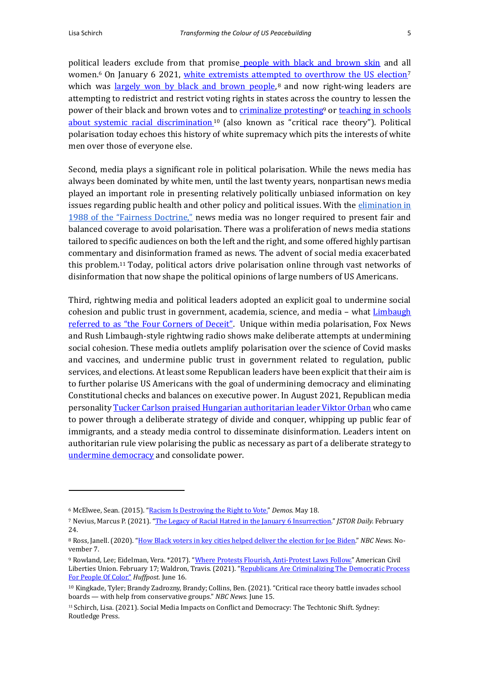political leaders exclude from that promise [people with black and brown skin](https://www.demos.org/blog/racism-destroying-right-vote) and all women.<sup>6</sup> On January 6 2021, [white extremists attempted to overthrow the US election](https://daily.jstor.org/the-legacy-of-racial-hatred-in-the-january-6-insurrection/)<sup>7</sup> which was <u>largely won by black and brown people</u>,<sup>8</sup> and now right-wing leaders are attempting to redistrict and restrict voting rights in states across the country to lessen the power of their black and brown votes and to [criminalize protesting](https://www.aclu.org/issues/free-speech/rights-protesters/anti-protest-bills-around-country)<sup>9</sup> or teaching in schools [about systemic racial discrimination](https://www.nbcnews.com/news/us-news/critical-race-theory-invades-school-boards-help-conservative-groups-n1270794)<sup>10</sup> (also known as "critical race theory"). Political polarisation today echoes this history of white supremacy which pits the interests of white men over those of everyone else.

Second, media plays a significant role in political polarisation. While the news media has always been dominated by white men, until the last twenty years, nonpartisan news media played an important role in presenting relatively politically unbiased information on key issues regarding public health and other policy and political issues. With the elimination in [1988 of the "Fairness Doctrine,"](https://en.wikipedia.org/wiki/FCC_fairness_doctrine) news media was no longer required to present fair and balanced coverage to avoid polarisation. There was a proliferation of news media stations tailored to specific audiences on both the left and the right, and some offered highly partisan commentary and disinformation framed as news. The advent of social media exacerbated this problem.<sup>11</sup> Today, political actors drive polarisation online through vast networks of disinformation that now shape the political opinions of large numbers of US Americans.

Third, rightwing media and political leaders adopted an explicit goal to undermine social cohesion and public trust in government, academia, science, and media - what **Limbaugh** [referred to as "the Four Corners of Deceit"](https://www.washingtonpost.com/opinions/2020/02/05/how-rush-limbaugh-made-trump-presidency-possible/). Unique within media polarisation, Fox News and Rush Limbaugh-style rightwing radio shows make deliberate attempts at undermining social cohesion. These media outlets amplify polarisation over the science of Covid masks and vaccines, and undermine public trust in government related to regulation, public services, and elections. At least some Republican leaders have been explicit that their aim is to further polarise US Americans with the goal of undermining democracy and eliminating Constitutional checks and balances on executive power. In August 2021, Republican media personalit[y Tucker Carlson praised Hungarian authoritarian leader Viktor Orban](https://www.theguardian.com/media/2021/aug/07/tucker-carlson-hungary-viktor-orban-donald-trump) who came to power through a deliberate strategy of divide and conquer, whipping up public fear of immigrants, and a steady media control to disseminate disinformation. Leaders intent on authoritarian rule view polarising the public as necessary as part of a deliberate strategy to [undermine democracy](https://www.penguinrandomhouse.com/books/562246/how-democracies-die-by-steven-levitsky-and-daniel-ziblatt/) and consolidate power.

<sup>6</sup> McElwee, Sean. (2015). ["Racism Is Destroying the Right to Vote."](https://www.demos.org/blog/racism-destroying-right-vote) *Demos*. May 18.

<sup>7</sup> Nevius, Marcus P. (2021). ["The Legacy of Racial Hatred in the January 6 Insurrection."](https://daily.jstor.org/the-legacy-of-racial-hatred-in-the-january-6-insurrection/) *JSTOR Daily.* February 24.

<sup>8</sup> Ross, Janell. (2020). "How Black voters in key [cities helped deliver the election for Joe Biden."](https://www.nbcnews.com/news/nbcblk/how-black-voters-key-cities-helped-deliver-election-joe-biden-n1246980) *NBC News.* November 7.

<sup>9</sup> Rowland, Lee; Eidelman, Vera. \*2017). ["Where Protests Flourish, Anti-Protest Laws Follow."](https://www.aclu.org/issues/free-speech/rights-protesters/anti-protest-bills-around-country) American Civil Liberties Union. February 17; Waldron, Travis. (2021). "Republicans Are Criminalizing The Democratic Process [For People Of Color."](https://www.huffpost.com/entry/republicans-anti-protest-laws-voting-restrictions_n_60d5f163e4b0b6b5a165ac1a) *Huffpost.* June 16.

<sup>10</sup> Kingkade, Tyler; Brandy Zadrozny, Brandy; Collins, Ben. (2021). "Critical race theory battle invades school boards — with help from conservative groups." *NBC News.* June 15.

<sup>11</sup> Schirch, Lisa. (2021). Social Media Impacts on Conflict and Democracy: The Techtonic Shift. Sydney: Routledge Press.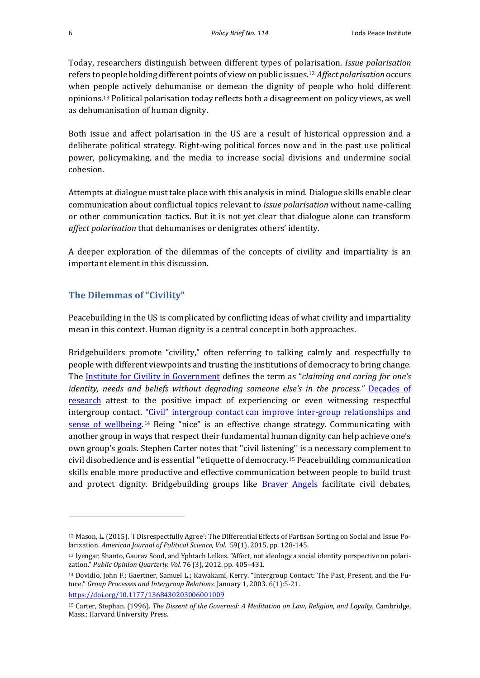Today, researchers distinguish between different types of polarisation. *Issue polarisation* refers to people holding different points of view on public issues. <sup>12</sup> *Affect polarisation* occurs when people actively dehumanise or demean the dignity of people who hold different opinions.<sup>13</sup> Political polarisation today reflects both a disagreement on policy views, as well as dehumanisation of human dignity.

Both issue and affect polarisation in the US are a result of historical oppression and a deliberate political strategy. Right-wing political forces now and in the past use political power, policymaking, and the media to increase social divisions and undermine social cohesion.

Attempts at dialogue must take place with this analysis in mind. Dialogue skills enable clear communication about conflictual topics relevant to *issue polarisation* without name-calling or other communication tactics. But it is not yet clear that dialogue alone can transform *affect polarisation* that dehumanises or denigrates others' identity.

A deeper exploration of the dilemmas of the concepts of civility and impartiality is an important element in this discussion.

### **The Dilemmas of "Civility"**

Peacebuilding in the US is complicated by conflicting ideas of what civility and impartiality mean in this context. Human dignity is a central concept in both approaches.

Bridgebuilders promote "civility," often referring to talking calmly and respectfully to people with different viewpoints and trusting the institutions of democracy to bring change. The [Institute for Civility in Government](https://www.instituteforcivility.org/who-we-are/what-is-civility/) defines the term as "*claiming and caring for one's identity, needs and beliefs without degrading someone else's in the process."* Decades of [research](https://doi.org/10.1177%2F1368430203006001009) attest to the positive impact of experiencing or even witnessing respectful intergroup contact. "Civil" intergroup contact can improve inter-group relationships and [sense of wellbeing.](https://www.instituteforcivility.org/2016/01/07/political-correctness-is-a-red-herring-civility-is-the-issue/)<sup>14</sup> Being "nice" is an effective change strategy. Communicating with another group in ways that respect their fundamental human dignity can help achieve one's own group's goals. Stephen Carter notes that ''civil listening'' is a necessary complement to civil disobedience and is essential ''etiquette of democracy.<sup>15</sup> Peacebuilding communication skills enable more productive and effective communication between people to build trust and protect dignity. Bridgebuilding groups like **[Braver Angels](https://braverangels.org/)** facilitate civil debates,

[https://doi.org/10.1177/1368430203006001009](https://doi.org/10.1177%2F1368430203006001009)

<sup>12</sup> Mason, L. (2015). `I Disrespectfully Agree': The Differential Effects of Partisan Sorting on Social and Issue Polarization. *American Journal of Political Science, Vol.* 59(1), 2015, pp. 128-145.

<sup>13</sup> Iyengar, Shanto, Gaurav Sood, and Yphtach Lelkes. "Affect, not ideology a social identity perspective on polarization." *Public Opinion Quarterly. Vol.* 76 (3), 2012. pp. 405–431.

<sup>14</sup> Dovidio, John F.; Gaertner, Samuel L.; Kawakami, Kerry. "Intergroup Contact: The Past, Present, and the Future." *Group Processes and Intergroup Relations.* January 1, 2003. 6(1):5-21.

<sup>15</sup> Carter, Stephan. (1996). *The Dissent of the Governed: A Meditation on Law, Religion, and Loyalty.* Cambridge, Mass.: Harvard University Press.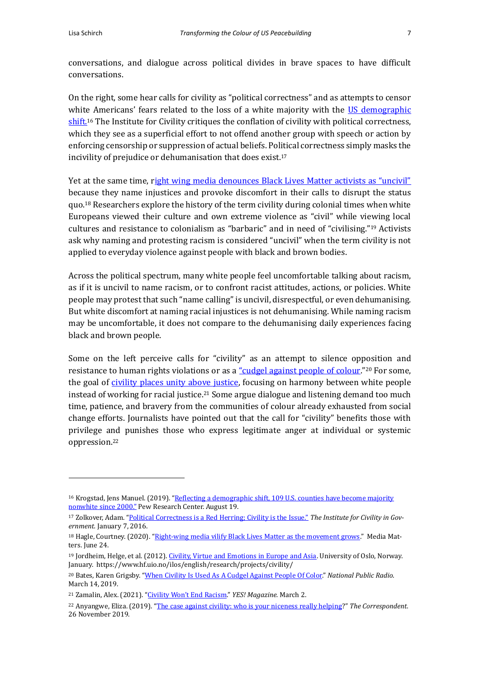conversations, and dialogue across political divides in brave spaces to have difficult conversations.

On the right, some hear calls for civility as "political correctness" and as attempts to censor white Americans' fears related to the loss of a white majority with the US demographic [shift.](https://www.pewresearch.org/fact-tank/2019/08/21/u-s-counties-majority-nonwhite/)<sup>16</sup> The Institute for Civility critiques the conflation of civility with political correctness, which they see as a superficial effort to not offend another group with speech or action by enforcing censorship or suppression of actual beliefs. Political correctness simply masks the incivility of prejudice or dehumanisation that does exist.<sup>17</sup>

Yet at the same time, r[ight wing media denounces Black Lives Matter activists as "uncivil"](https://www.mediamatters.org/black-lives-matter/right-wing-media-vilify-black-lives-matter-movement-grows) because they name injustices and provoke discomfort in their calls to disrupt the status quo.<sup>18</sup> Researchers explore the history of the term civility during colonial times when white Europeans viewed their culture and own extreme violence as "civil" while viewing local cultures and resistance to colonialism as "barbaric" and in need of "civilising."<sup>19</sup> Activists ask why naming and protesting racism is considered "uncivil" when the term civility is not applied to everyday violence against people with black and brown bodies.

Across the political spectrum, many white people feel uncomfortable talking about racism, as if it is uncivil to name racism, or to confront racist attitudes, actions, or policies. White people may protest that such "name calling" is uncivil, disrespectful, or even dehumanising. But white discomfort at naming racial injustices is not dehumanising. While naming racism may be uncomfortable, it does not compare to the dehumanising daily experiences facing black and brown people.

Some on the left perceive calls for "civility" as an attempt to silence opposition and resistance to human rights violations or as a ["cudgel against people of](https://www.npr.org/sections/codeswitch/2019/03/14/700897826/when-civility-is-used-as-a-cudgel-against-people-of-color) colour."<sup>20</sup> For some, the goal of [civility places unity above justice,](https://www.yesmagazine.org/opinion/2021/03/02/racial-justice-civility) focusing on harmony between white people instead of working for racial justice.<sup>21</sup> Some argue dialogue and listening demand too much time, patience, and bravery from the communities of colour already exhausted from social change efforts. Journalists have pointed out that the call for "civility" benefits those with privilege and punishes those who express legitimate anger at individual or systemic oppression.<sup>22</sup>

<sup>&</sup>lt;sup>16</sup> Krogstad, Jens Manuel. (2019). "Reflecting a demographic shift, 109 U.S. counties have become majority [nonwhite since 2000."](https://www.pewresearch.org/fact-tank/2019/08/21/u-s-counties-majority-nonwhite/) Pew Research Center. August 19.

<sup>17</sup> Zolkover, Adam. ["Political Correctness is a Red Herring; Civility is the Issue."](https://www.instituteforcivility.org/2016/01/07/political-correctness-is-a-red-herring-civility-is-the-issue/) *The Institute for Civility in Government.* January 7, 2016.

<sup>&</sup>lt;sup>18</sup> Hagle, Courtney. (2020). ["Right-wing media vilify Black Lives Matter as the movement grows."](https://www.mediamatters.org/black-lives-matter/right-wing-media-vilify-black-lives-matter-movement-grows) Media Matters. June 24.

<sup>19</sup> Jordheim, Helge, et al. (2012)[. Civility, Virtue and Emotions in Europe and Asia.](https://www.hf.uio.no/ilos/english/research/projects/civility/index.html) University of Oslo, Norway. January. https://www.hf.uio.no/ilos/english/research/projects/civility/

<sup>20</sup> Bates, Karen Grigsby. ["When Civility Is Used As A Cudgel Against People Of Color."](https://www.npr.org/sections/codeswitch/2019/03/14/700897826/when-civility-is-used-as-a-cudgel-against-people-of-color) *National Public Radio*. March 14, 2019.

<sup>21</sup> Zamalin, Alex. (2021). ["Civility Won't End Racism."](https://www.yesmagazine.org/opinion/2021/03/02/racial-justice-civility) *YES! Magazine.* March 2.

<sup>22</sup> Anyangwe, Eliza. (2019). "[The case against civility: who is your niceness really helping](https://thecorrespondent.com/140/the-case-against-civility-who-is-your-niceness-really-helping/15949190180-bf18dd58)?" *The Correspondent*. 26 November 2019.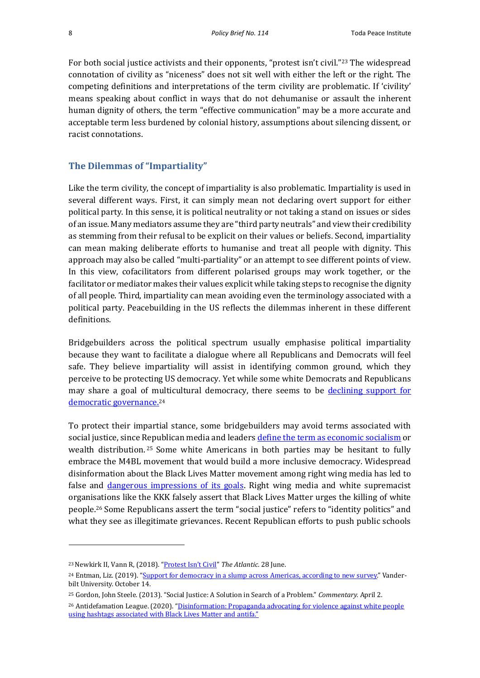For both social justice activists and their opponents, "protest isn't civil."<sup>23</sup> The widespread connotation of civility as "niceness" does not sit well with either the left or the right. The competing definitions and interpretations of the term civility are problematic. If 'civility' means speaking about conflict in ways that do not dehumanise or assault the inherent human dignity of others, the term "effective communication" may be a more accurate and acceptable term less burdened by colonial history, assumptions about silencing dissent, or racist connotations.

#### **The Dilemmas of "Impartiality"**

Like the term civility, the concept of impartiality is also problematic. Impartiality is used in several different ways. First, it can simply mean not declaring overt support for either political party. In this sense, it is political neutrality or not taking a stand on issues or sides of an issue. Many mediators assume they are "third party neutrals" and view their credibility as stemming from their refusal to be explicit on their values or beliefs. Second, impartiality can mean making deliberate efforts to humanise and treat all people with dignity. This approach may also be called "multi-partiality" or an attempt to see different points of view. In this view, cofacilitators from different polarised groups may work together, or the facilitator or mediator makes their values explicit while taking steps to recognise the dignity of all people. Third, impartiality can mean avoiding even the terminology associated with a political party. Peacebuilding in the US reflects the dilemmas inherent in these different definitions.

Bridgebuilders across the political spectrum usually emphasise political impartiality because they want to facilitate a dialogue where all Republicans and Democrats will feel safe. They believe impartiality will assist in identifying common ground, which they perceive to be protecting US democracy. Yet while some white Democrats and Republicans may share a goal of multicultural democracy, there seems to be declining support for [democratic governance.](https://news.vanderbilt.edu/2019/10/14/support-for-democracy-in-a-slump-across-americas-according-to-new-survey/)<sup>24</sup>

To protect their impartial stance, some bridgebuilders may avoid terms associated with social justice, since Republican media and leader[s define the term as economic socialism](https://www.commentary.org/john-steele-gordon/social-justice-a-solution-in-search-of-a-problem/) or wealth distribution.<sup>25</sup> Some white Americans in both parties may be hesitant to fully embrace the M4BL movement that would build a more inclusive democracy. Widespread disinformation about the Black Lives Matter movement among right wing media has led to false and [dangerous impressions of its goals.](https://www.adl.org/disinformation-propaganda-advocating-for-violence-against-white-people-using-hashtags-associated) Right wing media and white supremacist organisations like the KKK falsely assert that Black Lives Matter urges the killing of white people.<sup>26</sup> Some Republicans assert the term "social justice" refers to "identity politics" and what they see as illegitimate grievances. Recent Republican efforts to push public schools

<sup>23</sup>Newkirk II, Vann R, (2018). ["Protest Isn't Civil"](https://www.theatlantic.com/ideas/archive/2018/06/the-civility-instinct/563978/) *The Atlantic*. 28 June.

<sup>&</sup>lt;sup>24</sup> Entman, Liz. (2019). ["Support for democracy in a slump across Americas, according to new survey."](https://news.vanderbilt.edu/2019/10/14/support-for-democracy-in-a-slump-across-americas-according-to-new-survey/) Vanderbilt University. October 14.

<sup>25</sup> Gordon, John Steele. (2013). "Social Justice: A Solution in Search of a Problem." *Commentary.* April 2.

<sup>&</sup>lt;sup>26</sup> Antidefamation League. (2020). "Disinformation: Propaganda advocating for violence against white people [using hashtags associated with Black Lives Matter and](https://www.adl.org/disinformation-propaganda-advocating-for-violence-against-white-people-using-hashtags-associated) antifa."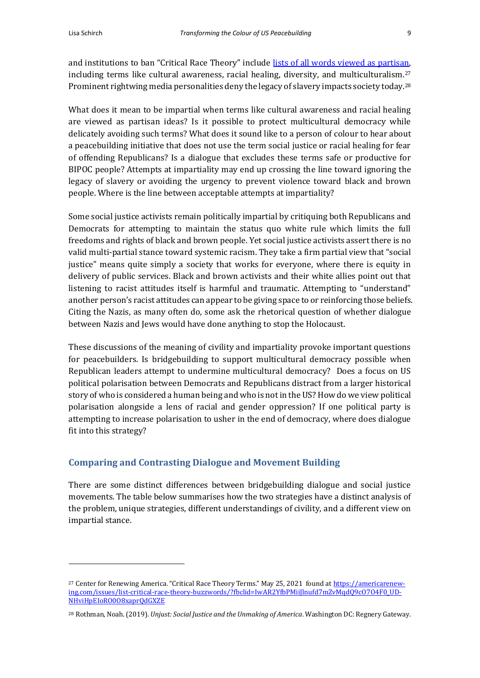and institutions to ban "Critical Race Theory" include [lists of all words viewed as partisan,](https://americarenewing.com/issues/list-critical-race-theory-buzzwords/?fbclid=IwAR2YfbPMiiJlnufd7mZvMqdQ9cO7O4F0_UDNHviHpEIoRO0O8xaprQdGXZE) including terms like cultural awareness, racial healing, diversity, and multiculturalism.<sup>27</sup> Prominent rightwing media personalities deny the legacy of slavery impacts society today.<sup>28</sup>

What does it mean to be impartial when terms like cultural awareness and racial healing are viewed as partisan ideas? Is it possible to protect multicultural democracy while delicately avoiding such terms? What does it sound like to a person of colour to hear about a peacebuilding initiative that does not use the term social justice or racial healing for fear of offending Republicans? Is a dialogue that excludes these terms safe or productive for BIPOC people? Attempts at impartiality may end up crossing the line toward ignoring the legacy of slavery or avoiding the urgency to prevent violence toward black and brown people. Where is the line between acceptable attempts at impartiality?

Some social justice activists remain politically impartial by critiquing both Republicans and Democrats for attempting to maintain the status quo white rule which limits the full freedoms and rights of black and brown people. Yet social justice activists assert there is no valid multi-partial stance toward systemic racism. They take a firm partial view that "social justice" means quite simply a society that works for everyone, where there is equity in delivery of public services. Black and brown activists and their white allies point out that listening to racist attitudes itself is harmful and traumatic. Attempting to "understand" another person's racist attitudes can appear to be giving space to or reinforcing those beliefs. Citing the Nazis, as many often do, some ask the rhetorical question of whether dialogue between Nazis and Jews would have done anything to stop the Holocaust.

These discussions of the meaning of civility and impartiality provoke important questions for peacebuilders. Is bridgebuilding to support multicultural democracy possible when Republican leaders attempt to undermine multicultural democracy? Does a focus on US political polarisation between Democrats and Republicans distract from a larger historical story of who is considered a human being and who is not in the US? How do we view political polarisation alongside a lens of racial and gender oppression? If one political party is attempting to increase polarisation to usher in the end of democracy, where does dialogue fit into this strategy?

## **Comparing and Contrasting Dialogue and Movement Building**

There are some distinct differences between bridgebuilding dialogue and social justice movements. The table below summarises how the two strategies have a distinct analysis of the problem, unique strategies, different understandings of civility, and a different view on impartial stance.

<sup>&</sup>lt;sup>27</sup> Center for Renewing America. "Critical Race Theory Terms." May 25, 2021 found a[t https://americarenew](https://americarenewing.com/issues/list-critical-race-theory-buzzwords/?fbclid=IwAR2YfbPMiiJlnufd7mZvMqdQ9cO7O4F0_UDNHviHpEIoRO0O8xaprQdGXZE)ing.com/issues/list-critical-race-theory-buzzwords/?fbclid=IwAR2YfbPMiiJlnufd7mZvMqdQ9c0704F0\_UD-[NHviHpEIoRO0O8xaprQdGXZE](https://americarenewing.com/issues/list-critical-race-theory-buzzwords/?fbclid=IwAR2YfbPMiiJlnufd7mZvMqdQ9cO7O4F0_UDNHviHpEIoRO0O8xaprQdGXZE)

<sup>28</sup> Rothman, Noah. (2019). *Unjust: Social Justice and the Unmaking of America*. Washington DC: Regnery Gateway.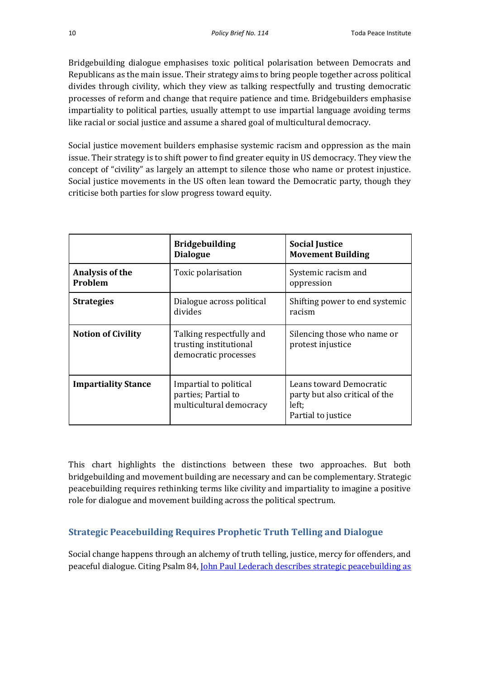Bridgebuilding dialogue emphasises toxic political polarisation between Democrats and Republicans as the main issue. Their strategy aims to bring people together across political divides through civility, which they view as talking respectfully and trusting democratic processes of reform and change that require patience and time. Bridgebuilders emphasise impartiality to political parties, usually attempt to use impartial language avoiding terms like racial or social justice and assume a shared goal of multicultural democracy.

Social justice movement builders emphasise systemic racism and oppression as the main issue. Their strategy is to shift power to find greater equity in US democracy. They view the concept of "civility" as largely an attempt to silence those who name or protest injustice. Social justice movements in the US often lean toward the Democratic party, though they criticise both parties for slow progress toward equity.

|                            | <b>Bridgebuilding</b><br><b>Dialogue</b>                                   | <b>Social Justice</b><br><b>Movement Building</b>                                        |
|----------------------------|----------------------------------------------------------------------------|------------------------------------------------------------------------------------------|
| Analysis of the<br>Problem | Toxic polarisation                                                         | Systemic racism and<br>oppression                                                        |
| <b>Strategies</b>          | Dialogue across political<br>divides                                       | Shifting power to end systemic<br>racism                                                 |
| <b>Notion of Civility</b>  | Talking respectfully and<br>trusting institutional<br>democratic processes | Silencing those who name or<br>protest injustice                                         |
| <b>Impartiality Stance</b> | Impartial to political<br>parties; Partial to<br>multicultural democracy   | Leans toward Democratic<br>party but also critical of the<br>left;<br>Partial to justice |

This chart highlights the distinctions between these two approaches. But both bridgebuilding and movement building are necessary and can be complementary. Strategic peacebuilding requires rethinking terms like civility and impartiality to imagine a positive role for dialogue and movement building across the political spectrum.

# **Strategic Peacebuilding Requires Prophetic Truth Telling and Dialogue**

Social change happens through an alchemy of truth telling, justice, mercy for offenders, and peaceful dialogue. Citing Psalm 84, [John Paul Lederach describes strategic peacebuilding as](http://www.intractableconflict.org/www_colorado_edu_conflict/transform/jplchpt.htm)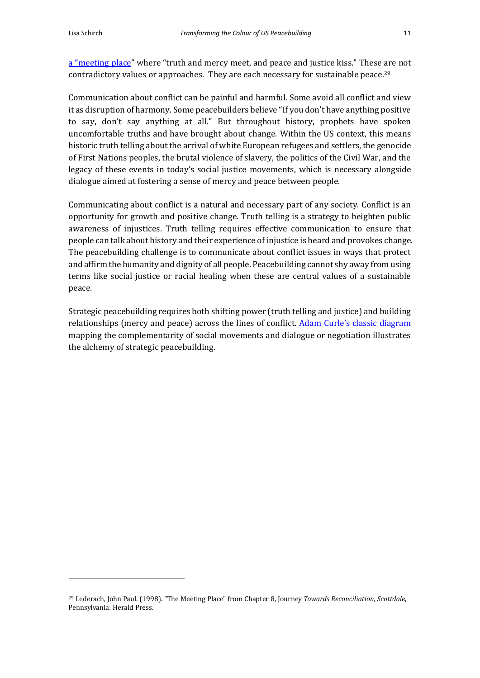[a "meeting place"](http://www.intractableconflict.org/www_colorado_edu_conflict/transform/jplchpt.htm) where "truth and mercy meet, and peace and justice kiss." These are not contradictory values or approaches. They are each necessary for sustainable peace.<sup>29</sup>

Communication about conflict can be painful and harmful. Some avoid all conflict and view it as disruption of harmony. Some peacebuilders believe "If you don't have anything positive to say, don't say anything at all." But throughout history, prophets have spoken uncomfortable truths and have brought about change. Within the US context, this means historic truth telling about the arrival of white European refugees and settlers, the genocide of First Nations peoples, the brutal violence of slavery, the politics of the Civil War, and the legacy of these events in today's social justice movements, which is necessary alongside dialogue aimed at fostering a sense of mercy and peace between people.

Communicating about conflict is a natural and necessary part of any society. Conflict is an opportunity for growth and positive change. Truth telling is a strategy to heighten public awareness of injustices. Truth telling requires effective communication to ensure that people can talk about history and their experience of injustice is heard and provokes change. The peacebuilding challenge is to communicate about conflict issues in ways that protect and affirm the humanity and dignity of all people. Peacebuilding cannot shy away from using terms like social justice or racial healing when these are central values of a sustainable peace.

Strategic peacebuilding requires both shifting power (truth telling and justice) and building relationships (mercy and peace) across the lines of conflict. [Adam Curle's classic diagram](https://defence-study.blogspot.com/2018/03/theories-of-conflict.html) mapping the complementarity of social movements and dialogue or negotiation illustrates the alchemy of strategic peacebuilding.

<sup>29</sup> Lederach, John Paul. (1998). "The Meeting Place" from Chapter 8, Journey *Towards Reconciliation, Scottdale*, Pennsylvania: Herald Press.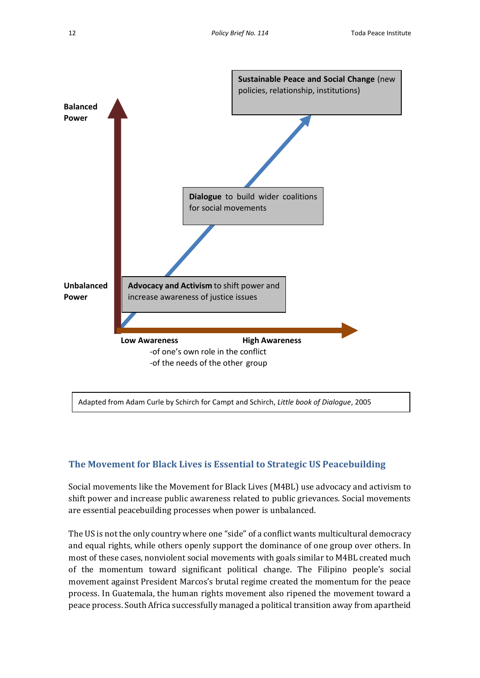

Adapted from Adam Curle by Schirch for Campt and Schirch, *Little book of Dialogue*, 2005

## **The Movement for Black Lives is Essential to Strategic US Peacebuilding**

Social movements like the Movement for Black Lives (M4BL) use advocacy and activism to shift power and increase public awareness related to public grievances. Social movements are essential peacebuilding processes when power is unbalanced.

The US is not the only country where one "side" of a conflict wants multicultural democracy and equal rights, while others openly support the dominance of one group over others. In most of these cases, nonviolent social movements with goals similar to M4BL created much of the momentum toward significant political change. The Filipino people's social movement against President Marcos's brutal regime created the momentum for the peace process. In Guatemala, the human rights movement also ripened the movement toward a peace process. South Africa successfully managed a political transition away from apartheid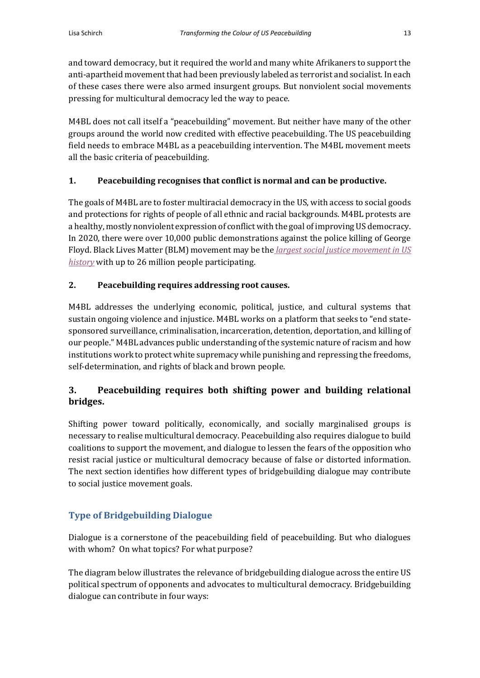and toward democracy, but it required the world and many white Afrikaners to support the anti-apartheid movement that had been previously labeled as terrorist and socialist. In each of these cases there were also armed insurgent groups. But nonviolent social movements pressing for multicultural democracy led the way to peace.

M4BL does not call itself a "peacebuilding" movement. But neither have many of the other groups around the world now credited with effective peacebuilding. The US peacebuilding field needs to embrace M4BL as a peacebuilding intervention. The M4BL movement meets all the basic criteria of peacebuilding.

### **1. Peacebuilding recognises that conflict is normal and can be productive.**

The goals of M4BL are to foster multiracial democracy in the US, with access to social goods and protections for rights of people of all ethnic and racial backgrounds. M4BL protests are a healthy, mostly nonviolent expression of conflict with the goal of improving US democracy. In 2020, there were over 10,000 public demonstrations against the police killing of George Floyd. Black Lives Matter (BLM) movement may be the *[largest social justice movement in US](https://www.nytimes.com/interactive/2020/07/03/us/george-floyd-protests-crowd-size.html)  [history](https://www.nytimes.com/interactive/2020/07/03/us/george-floyd-protests-crowd-size.html)* with up to 26 million people participating.

### **2. Peacebuilding requires addressing root causes.**

M4BL addresses the underlying economic, political, justice, and cultural systems that sustain ongoing violence and injustice. M4BL works on a platform that seeks to "end statesponsored surveillance, criminalisation, incarceration, detention, deportation, and killing of our people." M4BL advances public understanding of the systemic nature of racism and how institutions work to protect white supremacy while punishing and repressing the freedoms, self-determination, and rights of black and brown people.

# **3. Peacebuilding requires both shifting power and building relational bridges.**

Shifting power toward politically, economically, and socially marginalised groups is necessary to realise multicultural democracy. Peacebuilding also requires dialogue to build coalitions to support the movement, and dialogue to lessen the fears of the opposition who resist racial justice or multicultural democracy because of false or distorted information. The next section identifies how different types of bridgebuilding dialogue may contribute to social justice movement goals.

## **Type of Bridgebuilding Dialogue**

Dialogue is a cornerstone of the peacebuilding field of peacebuilding. But who dialogues with whom? On what topics? For what purpose?

The diagram below illustrates the relevance of bridgebuilding dialogue across the entire US political spectrum of opponents and advocates to multicultural democracy. Bridgebuilding dialogue can contribute in four ways: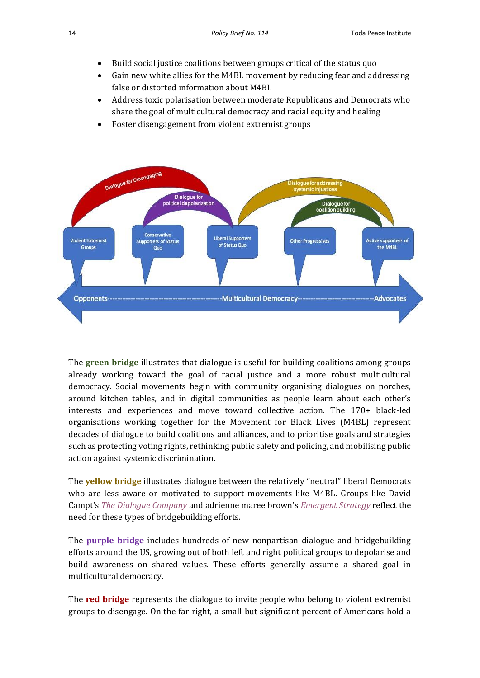- Build social justice coalitions between groups critical of the status quo
- Gain new white allies for the M4BL movement by reducing fear and addressing false or distorted information about M4BL
- Address toxic polarisation between moderate Republicans and Democrats who share the goal of multicultural democracy and racial equity and healing
- Foster disengagement from violent extremist groups



The **green bridge** illustrates that dialogue is useful for building coalitions among groups already working toward the goal of racial justice and a more robust multicultural democracy. Social movements begin with community organising dialogues on porches, around kitchen tables, and in digital communities as people learn about each other's interests and experiences and move toward collective action. The 170+ black-led organisations working together for the Movement for Black Lives (M4BL) represent decades of dialogue to build coalitions and alliances, and to prioritise goals and strategies such as protecting voting rights, rethinking public safety and policing, and mobilising public action against systemic discrimination.

The **yellow bridge** illustrates dialogue between the relatively "neutral" liberal Democrats who are less aware or motivated to support movements like M4BL. Groups like David Campt's *[The Dialogue Company](https://thedialoguecompany.com/meet-davidcampt)* and adrienne maree brown'[s](http://adriennemareebrown.net/2021/04/17/disrupting-the-pattern-a-call-for-love-and-solidarity/) *[Emergent Strategy](http://adriennemareebrown.net/2021/04/17/disrupting-the-pattern-a-call-for-love-and-solidarity/)* reflect the need for these types of bridgebuilding efforts.

The **purple bridge** includes hundreds of new nonpartisan dialogue and bridgebuilding efforts around the US, growing out of both left and right political groups to depolarise and build awareness on shared values. These efforts generally assume a shared goal in multicultural democracy.

The **red bridge** represents the dialogue to invite people who belong to violent extremist groups to disengage. On the far right, a small but significant percent of Americans hold a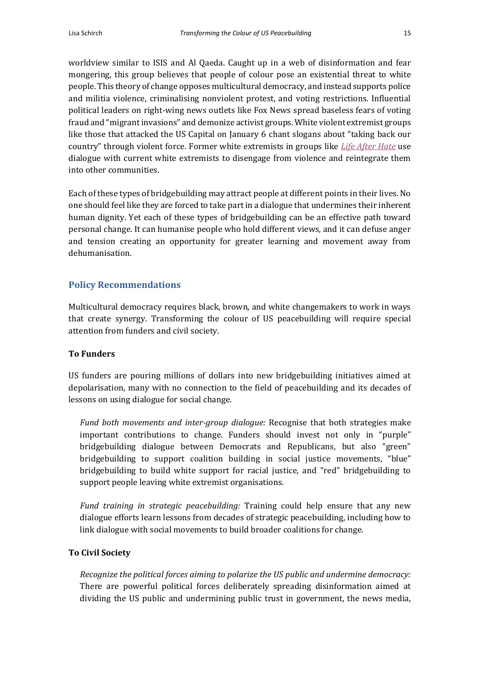worldview similar to ISIS and Al Qaeda. Caught up in a web of disinformation and fear mongering, this group believes that people of colour pose an existential threat to white people. This theory of change opposes multicultural democracy, and instead supports police and militia violence, criminalising nonviolent protest, and voting restrictions. Influential political leaders on right-wing news outlets like Fox News spread baseless fears of voting fraud and "migrant invasions" and demonize activist groups. White violent extremist groups like those that attacked the US Capital on January 6 chant slogans about "taking back our country" through violent force. Former white extremists in groups lik[e](https://www.lifeafterhate.org/) *[Life After Hate](https://www.lifeafterhate.org/)* use dialogue with current white extremists to disengage from violence and reintegrate them into other communities.

Each of these types of bridgebuilding may attract people at different points in their lives. No one should feel like they are forced to take part in a dialogue that undermines their inherent human dignity. Yet each of these types of bridgebuilding can be an effective path toward personal change. It can humanise people who hold different views, and it can defuse anger and tension creating an opportunity for greater learning and movement away from dehumanisation.

### **Policy Recommendations**

Multicultural democracy requires black, brown, and white changemakers to work in ways that create synergy. Transforming the colour of US peacebuilding will require special attention from funders and civil society.

#### **To Funders**

US funders are pouring millions of dollars into new bridgebuilding initiatives aimed at depolarisation, many with no connection to the field of peacebuilding and its decades of lessons on using dialogue for social change.

*Fund both movements and inter-group dialogue:* Recognise that both strategies make important contributions to change. Funders should invest not only in "purple" bridgebuilding dialogue between Democrats and Republicans, but also "green" bridgebuilding to support coalition building in social justice movements, "blue" bridgebuilding to build white support for racial justice, and "red" bridgebuilding to support people leaving white extremist organisations.

*Fund training in strategic peacebuilding:* Training could help ensure that any new dialogue efforts learn lessons from decades of strategic peacebuilding, including how to link dialogue with social movements to build broader coalitions for change.

#### **To Civil Society**

*Recognize the political forces aiming to polarize the US public and undermine democracy:*  There are powerful political forces deliberately spreading disinformation aimed at dividing the US public and undermining public trust in government, the news media,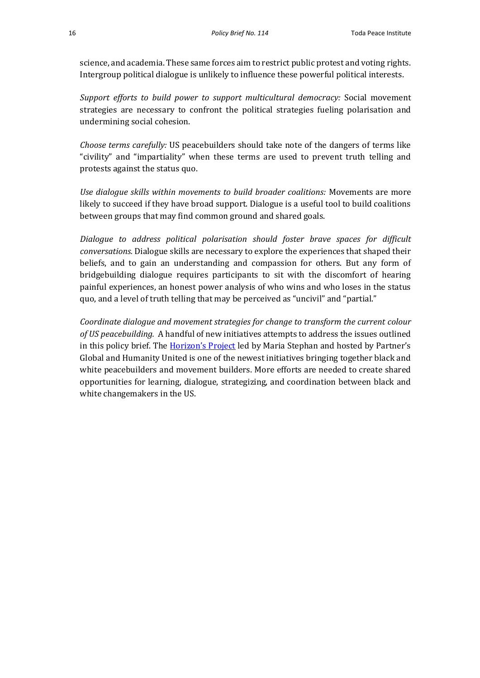science, and academia. These same forces aim to restrict public protest and voting rights. Intergroup political dialogue is unlikely to influence these powerful political interests.

*Support efforts to build power to support multicultural democracy:* Social movement strategies are necessary to confront the political strategies fueling polarisation and undermining social cohesion.

*Choose terms carefully:* US peacebuilders should take note of the dangers of terms like "civility" and "impartiality" when these terms are used to prevent truth telling and protests against the status quo.

*Use dialogue skills within movements to build broader coalitions:* Movements are more likely to succeed if they have broad support. Dialogue is a useful tool to build coalitions between groups that may find common ground and shared goals.

*Dialogue to address political polarisation should foster brave spaces for difficult conversations.* Dialogue skills are necessary to explore the experiences that shaped their beliefs, and to gain an understanding and compassion for others. But any form of bridgebuilding dialogue requires participants to sit with the discomfort of hearing painful experiences, an honest power analysis of who wins and who loses in the status quo, and a level of truth telling that may be perceived as "uncivil" and "partial."

*Coordinate dialogue and movement strategies for change to transform the current colour of US peacebuilding.* A handful of new initiatives attempts to address the issues outlined in this policy brief. The **[Horizon's Project](https://www.partnersglobal.org/horizons-project/) led** by Maria Stephan and hosted by Partner's Global and Humanity United is one of the newest initiatives bringing together black and white peacebuilders and movement builders. More efforts are needed to create shared opportunities for learning, dialogue, strategizing, and coordination between black and white changemakers in the US.